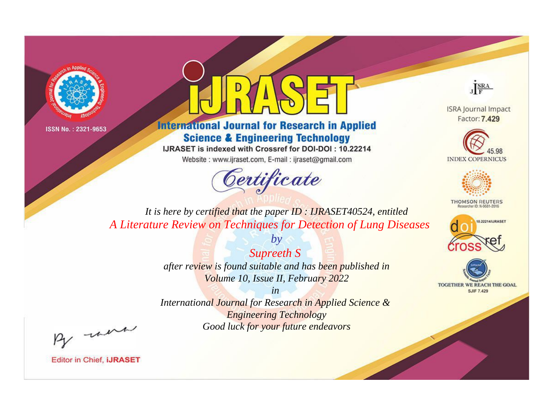



**International Journal for Research in Applied Science & Engineering Technology** 

IJRASET is indexed with Crossref for DOI-DOI: 10.22214

Website: www.ijraset.com, E-mail: ijraset@gmail.com





**ISRA Journal Impact** Factor: 7.429





**THOMSON REUTERS** 



TOGETHER WE REACH THE GOAL **SJIF 7.429** 

*It is here by certified that the paper ID : IJRASET40524, entitled A Literature Review on Techniques for Detection of Lung Diseases*

> *Supreeth S after review is found suitable and has been published in Volume 10, Issue II, February 2022*

*by*

*in International Journal for Research in Applied Science & Engineering Technology Good luck for your future endeavors*

By morn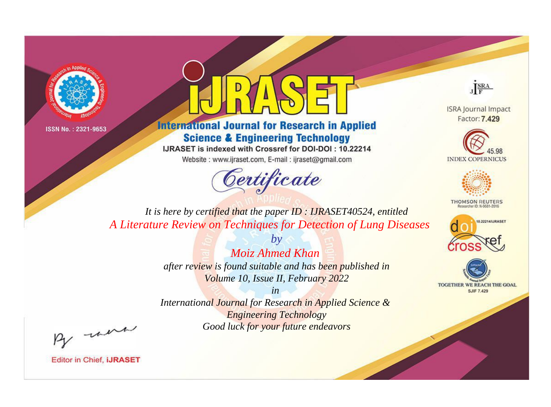



**International Journal for Research in Applied Science & Engineering Technology** 

IJRASET is indexed with Crossref for DOI-DOI: 10.22214

Website: www.ijraset.com, E-mail: ijraset@gmail.com



JERA

**ISRA Journal Impact** Factor: 7.429





**THOMSON REUTERS** 



TOGETHER WE REACH THE GOAL **SJIF 7.429** 

It is here by certified that the paper ID: IJRASET40524, entitled A Literature Review on Techniques for Detection of Lung Diseases

> Moiz Ahmed Khan after review is found suitable and has been published in Volume 10, Issue II, February 2022

 $b\nu$ 

 $in$ International Journal for Research in Applied Science & **Engineering Technology** Good luck for your future endeavors

By morn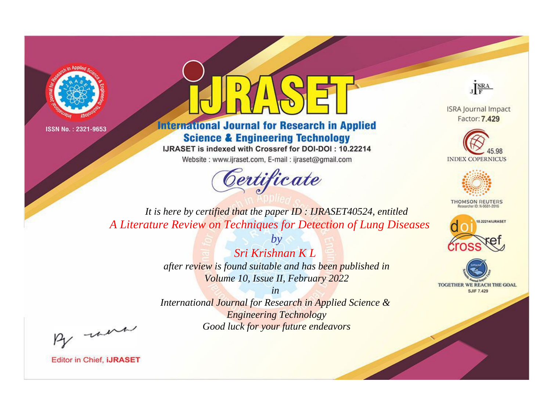



**International Journal for Research in Applied Science & Engineering Technology** 

IJRASET is indexed with Crossref for DOI-DOI: 10.22214

Website: www.ijraset.com, E-mail: ijraset@gmail.com



JERA

**ISRA Journal Impact** Factor: 7.429





**THOMSON REUTERS** 



TOGETHER WE REACH THE GOAL **SJIF 7.429** 

It is here by certified that the paper ID: IJRASET40524, entitled A Literature Review on Techniques for Detection of Lung Diseases

> Sri Krishnan K L after review is found suitable and has been published in Volume 10, Issue II, February 2022

 $h\nu$ 

 $in$ International Journal for Research in Applied Science & **Engineering Technology** Good luck for your future endeavors

By morn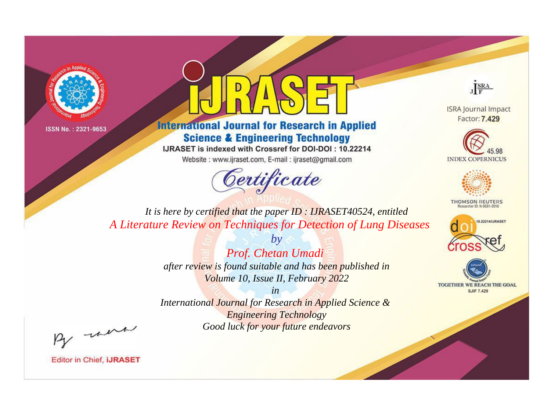



**International Journal for Research in Applied Science & Engineering Technology** 

IJRASET is indexed with Crossref for DOI-DOI: 10.22214

Website: www.ijraset.com, E-mail: ijraset@gmail.com



JERA

**ISRA Journal Impact** Factor: 7.429





**THOMSON REUTERS** 



TOGETHER WE REACH THE GOAL **SJIF 7.429** 

It is here by certified that the paper ID: IJRASET40524, entitled A Literature Review on Techniques for Detection of Lung Diseases

> $b\nu$ Prof. Chetan Umadi after review is found suitable and has been published in Volume 10, Issue II, February 2022

 $in$ International Journal for Research in Applied Science & **Engineering Technology** Good luck for your future endeavors

By morn